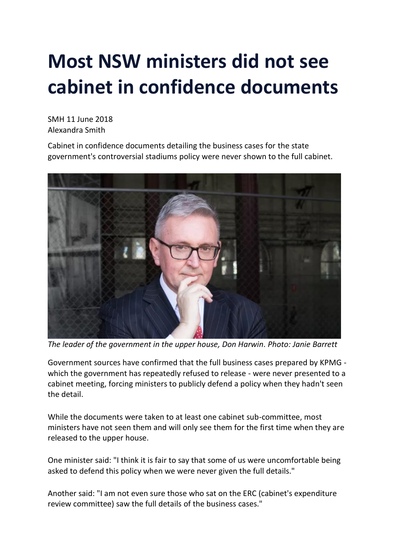## **Most NSW ministers did not see cabinet in confidence documents**

SMH 11 June 2018 Alexandra Smith

Cabinet in confidence documents detailing the business cases for the state government's controversial stadiums policy were never shown to the full cabinet.



*The leader of the government in the upper house, Don Harwin. Photo: Janie Barrett*

Government sources have confirmed that the full business cases prepared by KPMG which the government has repeatedly refused to release - were never presented to a cabinet meeting, forcing ministers to publicly defend a policy when they hadn't seen the detail.

While the documents were taken to at least one cabinet sub-committee, most ministers have not seen them and will only see them for the first time when they are released to the upper house.

One minister said: "I think it is fair to say that some of us were uncomfortable being asked to defend this policy when we were never given the full details."

Another said: "I am not even sure those who sat on the ERC (cabinet's expenditure review committee) saw the full details of the business cases."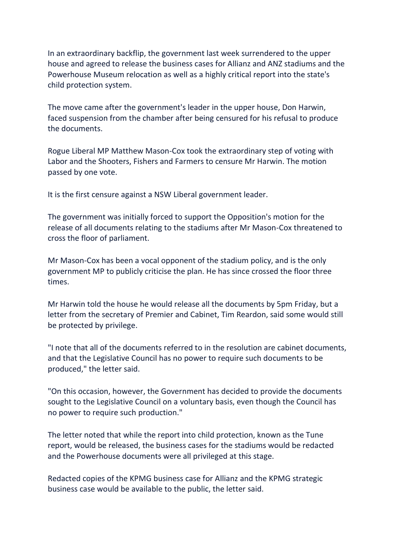In an extraordinary backflip, the government last week surrendered to the upper house and agreed to release the business cases for Allianz and ANZ stadiums and the Powerhouse Museum relocation as well as a highly critical report into the state's child protection system.

The move came after the government's leader in the upper house, Don Harwin, faced suspension from the chamber after being censured for his refusal to produce the documents.

Rogue Liberal MP Matthew Mason-Cox took the extraordinary step of voting with Labor and the Shooters, Fishers and Farmers to censure Mr Harwin. The motion passed by one vote.

It is the first censure against a NSW Liberal government leader.

The government was initially forced to support the Opposition's motion for the release of all documents relating to the stadiums after Mr Mason-Cox threatened to cross the floor of parliament.

Mr Mason-Cox has been a vocal opponent of the stadium policy, and is the only government MP to publicly criticise the plan. He has since crossed the floor three times.

Mr Harwin told the house he would release all the documents by 5pm Friday, but a letter from the secretary of Premier and Cabinet, Tim Reardon, said some would still be protected by privilege.

"I note that all of the documents referred to in the resolution are cabinet documents, and that the Legislative Council has no power to require such documents to be produced," the letter said.

"On this occasion, however, the Government has decided to provide the documents sought to the Legislative Council on a voluntary basis, even though the Council has no power to require such production."

The letter noted that while the report into child protection, known as the Tune report, would be released, the business cases for the stadiums would be redacted and the Powerhouse documents were all privileged at this stage.

Redacted copies of the KPMG business case for Allianz and the KPMG strategic business case would be available to the public, the letter said.